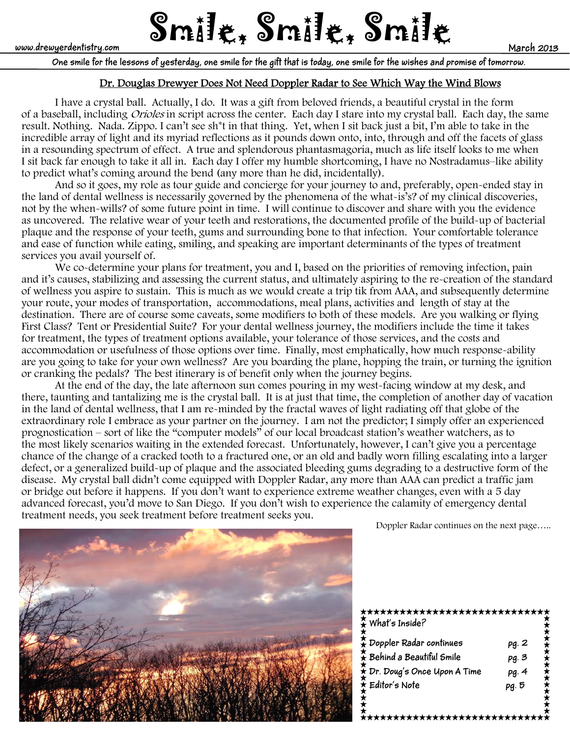www.drewyerdentistry.com  $\text{Smil}$ t $\ddot{\boldsymbol{\xi}}$ ,  $\text{Smil}$ t $\ddot{\boldsymbol{\xi}}$ ,  $\text{Smil}$ t $\ddot{\boldsymbol{\xi}}$ 

**One smile for the lessons of yesterday, one smile for the gift that is today, one smile for the wishes and promise of tomorrow.**

# Dr. Douglas Drewyer Does Not Need Doppler Radar to See Which Way the Wind Blows

I have a crystal ball. Actually, I do. It was a gift from beloved friends, a beautiful crystal in the form of a baseball, including *Orioles* in script across the center. Each day I stare into my crystal ball. Each day, the same result. Nothing. Nada. Zippo. I can't see sh\*t in that thing. Yet, when I sit back just a bit, I'm able to take in the incredible array of light and its myriad reflections as it pounds down onto, into, through and off the facets of glass in a resounding spectrum of effect. A true and splendorous phantasmagoria, much as life itself looks to me when I sit back far enough to take it all in. Each day I offer my humble shortcoming, I have no Nostradamus–like ability to predict what's coming around the bend (any more than he did, incidentally).

 And so it goes, my role as tour guide and concierge for your journey to and, preferably, open-ended stay in the land of dental wellness is necessarily governed by the phenomena of the what-is's? of my clinical discoveries, not by the when-wills? of some future point in time. I will continue to discover and share with you the evidence as uncovered. The relative wear of your teeth and restorations, the documented profile of the build-up of bacterial plaque and the response of your teeth, gums and surrounding bone to that infection. Your comfortable tolerance and ease of function while eating, smiling, and speaking are important determinants of the types of treatment services you avail yourself of.

We co-determine your plans for treatment, you and I, based on the priorities of removing infection, pain and it's causes, stabilizing and assessing the current status, and ultimately aspiring to the re-creation of the standard of wellness you aspire to sustain. This is much as we would create a trip tik from AAA, and subsequently determine your route, your modes of transportation, accommodations, meal plans, activities and length of stay at the destination. There are of course some caveats, some modifiers to both of these models. Are you walking or flying First Class? Tent or Presidential Suite? For your dental wellness journey, the modifiers include the time it takes for treatment, the types of treatment options available, your tolerance of those services, and the costs and accommodation or usefulness of those options over time. Finally, most emphatically, how much response-ability are you going to take for your own wellness? Are you boarding the plane, hopping the train, or turning the ignition or cranking the pedals? The best itinerary is of benefit only when the journey begins.

 At the end of the day, the late afternoon sun comes pouring in my west-facing window at my desk, and there, taunting and tantalizing me is the crystal ball. It is at just that time, the completion of another day of vacation in the land of dental wellness, that I am re-minded by the fractal waves of light radiating off that globe of the extraordinary role I embrace as your partner on the journey. I am not the predictor; I simply offer an experienced prognostication – sort of like the "computer models" of our local broadcast station's weather watchers, as to the most likely scenarios waiting in the extended forecast. Unfortunately, however, I can't give you a percentage chance of the change of a cracked tooth to a fractured one, or an old and badly worn filling escalating into a larger defect, or a generalized build-up of plaque and the associated bleeding gums degrading to a destructive form of the disease. My crystal ball didn't come equipped with Doppler Radar, any more than AAA can predict a traffic jam or bridge out before it happens. If you don't want to experience extreme weather changes, even with a 5 day advanced forecast, you'd move to San Diego. If you don't wish to experience the calamity of emergency dental treatment needs, you seek treatment before treatment seeks you.<br>Doppler Radar continues on the next page.....





| **************************<br>What's Inside?   |       |
|------------------------------------------------|-------|
| $\frac{1}{\mathbf{A}}$ Doppler Radar continues | pg. 2 |
| $\hat{\star}$ Behind a Beautiful Smile         | pg. 3 |
| $\hat{\star}$ Dr. Doug's Once Upon A Time      | pg. 4 |
| $\hat{\star}$ Editor's Note                    | pg. 5 |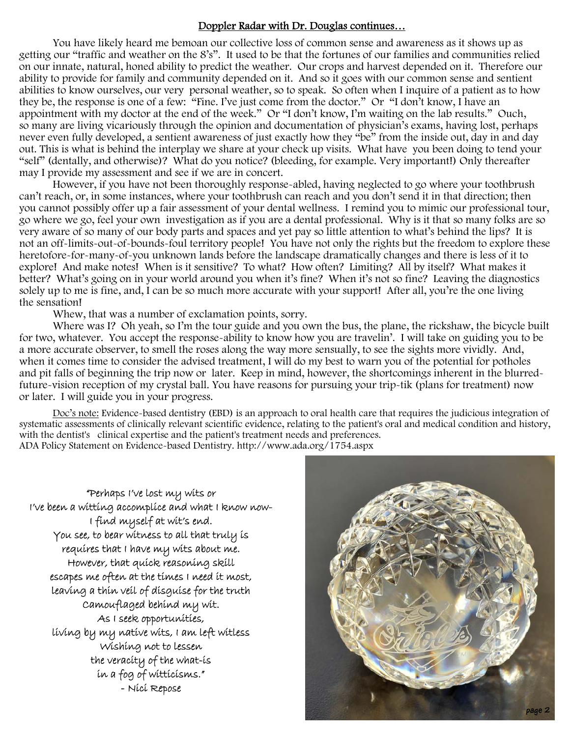### Doppler Radar with Dr. Douglas continues…

You have likely heard me bemoan our collective loss of common sense and awareness as it shows up as getting our "traffic and weather on the 8's". It used to be that the fortunes of our families and communities relied on our innate, natural, honed ability to predict the weather. Our crops and harvest depended on it. Therefore our ability to provide for family and community depended on it. And so it goes with our common sense and sentient abilities to know ourselves, our very personal weather, so to speak. So often when I inquire of a patient as to how they be, the response is one of a few: "Fine. I've just come from the doctor." Or "I don't know, I have an appointment with my doctor at the end of the week." Or "I don't know, I'm waiting on the lab results." Ouch, so many are living vicariously through the opinion and documentation of physician's exams, having lost, perhaps never even fully developed, a sentient awareness of just exactly how they "be" from the inside out, day in and day out. This is what is behind the interplay we share at your check up visits. What have you been doing to tend your "self" (dentally, and otherwise)? What do you notice? (bleeding, for example. Very important!) Only thereafter may I provide my assessment and see if we are in concert.

 However, if you have not been thoroughly response-abled, having neglected to go where your toothbrush can't reach, or, in some instances, where your toothbrush can reach and you don't send it in that direction; then you cannot possibly offer up a fair assessment of your dental wellness. I remind you to mimic our professional tour, go where we go, feel your own investigation as if you are a dental professional. Why is it that so many folks are so very aware of so many of our body parts and spaces and yet pay so little attention to what's behind the lips? It is not an off-limits-out-of-bounds-foul territory people! You have not only the rights but the freedom to explore these heretofore-for-many-of-you unknown lands before the landscape dramatically changes and there is less of it to explore! And make notes! When is it sensitive? To what? How often? Limiting? All by itself? What makes it better? What's going on in your world around you when it's fine? When it's not so fine? Leaving the diagnostics solely up to me is fine, and, I can be so much more accurate with your support! After all, you're the one living the sensation!

Whew, that was a number of exclamation points, sorry.

Where was I? Oh yeah, so I'm the tour guide and you own the bus, the plane, the rickshaw, the bicycle built for two, whatever. You accept the response-ability to know how you are travelin'. I will take on guiding you to be a more accurate observer, to smell the roses along the way more sensually, to see the sights more vividly. And, when it comes time to consider the advised treatment, I will do my best to warn you of the potential for potholes and pit falls of beginning the trip now or later. Keep in mind, however, the shortcomings inherent in the blurredfuture-vision reception of my crystal ball. You have reasons for pursuing your trip-tik (plans for treatment) now or later. I will guide you in your progress.

 Doc's note: Evidence-based dentistry (EBD) is an approach to oral health care that requires the judicious integration of systematic assessments of clinically relevant scientific evidence, relating to the patient's oral and medical condition and history, with the dentist's clinical expertise and the patient's treatment needs and preferences. ADA Policy Statement on Evidence-based Dentistry. http://www.ada.org/1754.aspx

"Perhaps I've lost my wits or I've been a witting accomplice and what I know now-I find myself at wit's end. You see, to bear witness to all that truly is requires that I have my wits about me. However, that quick reasoning skill escapes me often at the times I need it most, leaving a thin veil of disguise for the truth Camouflaged behind my wit. As I seek opportunities, living by my native wits, I am left witless Wishing not to lessen the veracity of the what-is in a fog of witticisms." - Nici Repose

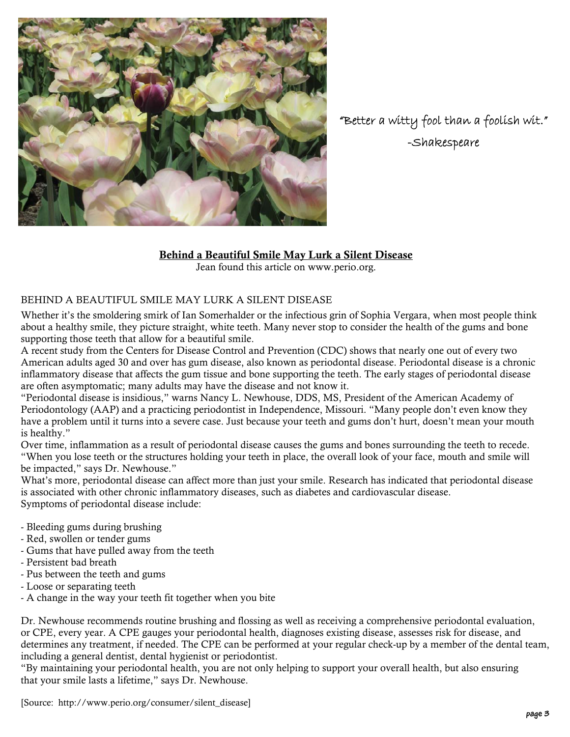

"Better a witty fool than a foolish wit." -Shakespeare

## Behind a Beautiful Smile May Lurk a Silent Disease

Jean found this article on www.perio.org.

## BEHIND A BEAUTIFUL SMILE MAY LURK A SILENT DISEASE

Whether it's the smoldering smirk of Ian Somerhalder or the infectious grin of Sophia Vergara, when most people think about a healthy smile, they picture straight, white teeth. Many never stop to consider the health of the gums and bone supporting those teeth that allow for a beautiful smile.

A recent study from the Centers for Disease Control and Prevention (CDC) shows that nearly one out of every two American adults aged 30 and over has gum disease, also known as periodontal disease. Periodontal disease is a chronic inflammatory disease that affects the gum tissue and bone supporting the teeth. The early stages of periodontal disease are often asymptomatic; many adults may have the disease and not know it.

"Periodontal disease is insidious," warns Nancy L. Newhouse, DDS, MS, President of the American Academy of Periodontology (AAP) and a practicing periodontist in Independence, Missouri. "Many people don't even know they have a problem until it turns into a severe case. Just because your teeth and gums don't hurt, doesn't mean your mouth is healthy."

Over time, inflammation as a result of periodontal disease causes the gums and bones surrounding the teeth to recede. "When you lose teeth or the structures holding your teeth in place, the overall look of your face, mouth and smile will be impacted," says Dr. Newhouse."

What's more, periodontal disease can affect more than just your smile. Research has indicated that periodontal disease is associated with other chronic inflammatory diseases, such as diabetes and cardiovascular disease. Symptoms of periodontal disease include:

- Bleeding gums during brushing
- Red, swollen or tender gums
- Gums that have pulled away from the teeth
- Persistent bad breath
- Pus between the teeth and gums
- Loose or separating teeth
- A change in the way your teeth fit together when you bite

Dr. Newhouse recommends routine brushing and flossing as well as receiving a comprehensive periodontal evaluation, or CPE, every year. A CPE gauges your periodontal health, diagnoses existing disease, assesses risk for disease, and determines any treatment, if needed. The CPE can be performed at your regular check-up by a member of the dental team, including a general dentist, dental hygienist or periodontist.

"By maintaining your periodontal health, you are not only helping to support your overall health, but also ensuring that your smile lasts a lifetime," says Dr. Newhouse.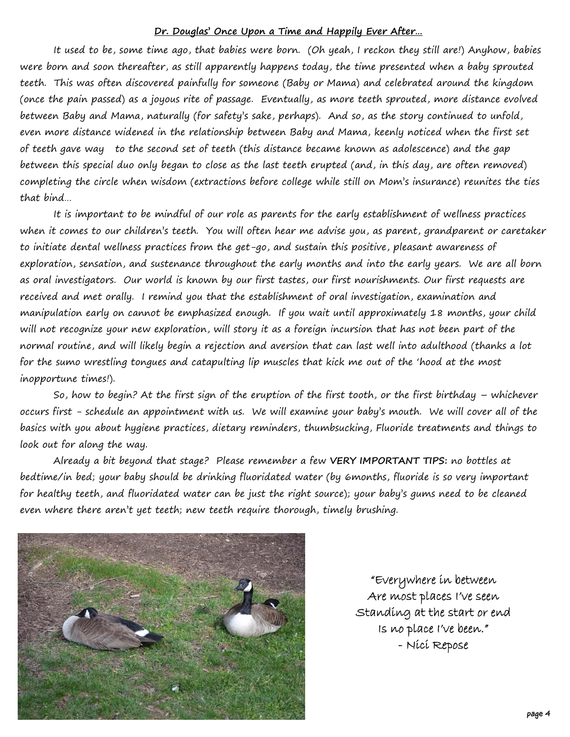#### **Dr. Douglas' Once Upon a Time and Happily Ever After…**

It used to be, some time ago, that babies were born. (Oh yeah, I reckon they still are!) Anyhow, babies were born and soon thereafter, as still apparently happens today, the time presented when a baby sprouted teeth. This was often discovered painfully for someone (Baby or Mama) and celebrated around the kingdom (once the pain passed) as a joyous rite of passage. Eventually, as more teeth sprouted, more distance evolved between Baby and Mama, naturally (for safety's sake, perhaps). And so, as the story continued to unfold, even more distance widened in the relationship between Baby and Mama, keenly noticed when the first set of teeth gave way to the second set of teeth (this distance became known as adolescence) and the gap between this special duo only began to close as the last teeth erupted (and, in this day, are often removed) completing the circle when wisdom (extractions before college while still on Mom's insurance) reunites the ties that bind…

 It is important to be mindful of our role as parents for the early establishment of wellness practices when it comes to our children's teeth. You will often hear me advise you, as parent, grandparent or caretaker to initiate dental wellness practices from the get-go, and sustain this positive, pleasant awareness of exploration, sensation, and sustenance throughout the early months and into the early years. We are all born as oral investigators. Our world is known by our first tastes, our first nourishments. Our first requests are received and met orally. I remind you that the establishment of oral investigation, examination and manipulation early on cannot be emphasized enough. If you wait until approximately 18 months, your child will not recognize your new exploration, will story it as a foreign incursion that has not been part of the normal routine, and will likely begin a rejection and aversion that can last well into adulthood (thanks a lot for the sumo wrestling tongues and catapulting lip muscles that kick me out of the 'hood at the most inopportune times!).

 So, how to begin? At the first sign of the eruption of the first tooth, or the first birthday – whichever occurs first - schedule an appointment with us. We will examine your baby's mouth. We will cover all of the basics with you about hygiene practices, dietary reminders, thumbsucking, Fluoride treatments and things to look out for along the way.

 Already a bit beyond that stage? Please remember a few **VERY IMPORTANT TIPS:** no bottles at bedtime/in bed; your baby should be drinking fluoridated water (by 6months, fluoride is so very important for healthy teeth, and fluoridated water can be just the right source); your baby's gums need to be cleaned even where there aren't yet teeth; new teeth require thorough, timely brushing.



"Everywhere in between Are most places I've seen Standing at the start or end Is no place I've been." - Nici Repose